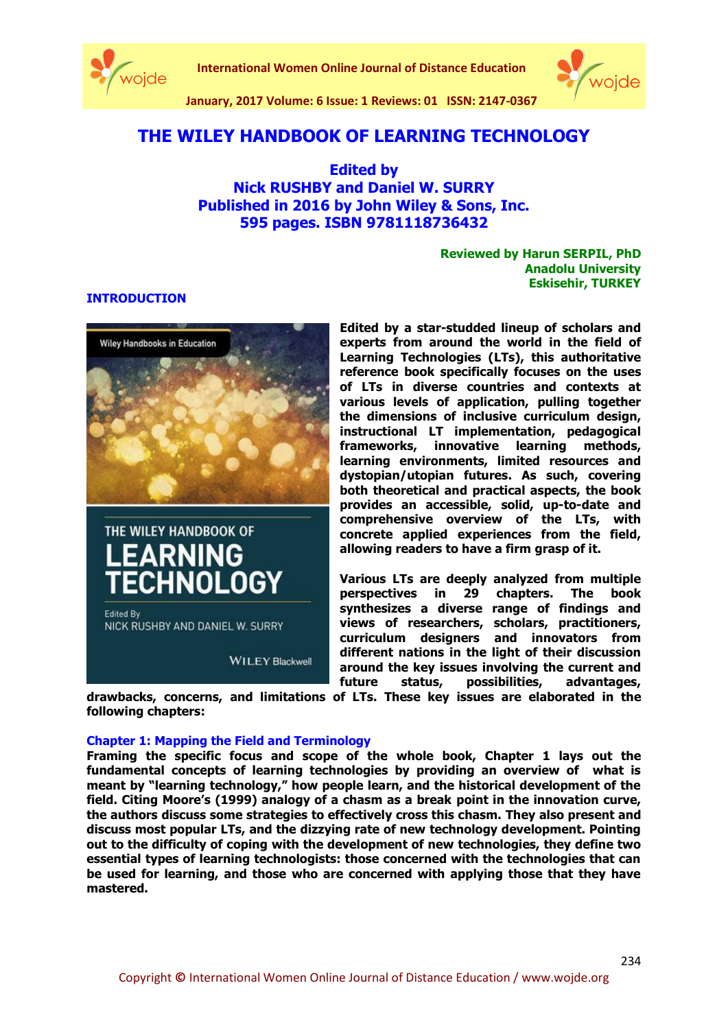

**International Women Online Journal of Distance Education**



**January, 2017 Volume: 6 Issue: 1 Reviews: 01 ISSN: 2147-0367**

# **THE WILEY HANDBOOK OF LEARNING TECHNOLOGY**

**Edited by Nick RUSHBY and Daniel W. SURRY Published in 2016 by John Wiley & Sons, Inc. 595 pages. ISBN 9781118736432**

> **Reviewed by Harun SERPIL, PhD Anadolu University Eskisehir, TURKEY**

#### **INTRODUCTION**



THE WILEY HANDBOOK OF

**EARNING** 

**Edited By** 

ECHNOLOGY

NICK RUSHBY AND DANIEL W. SURRY

**reference book specifically focuses on the uses of LTs in diverse countries and contexts at various levels of application, pulling together the dimensions of inclusive curriculum design, instructional LT implementation, pedagogical frameworks, innovative learning methods, learning environments, limited resources and dystopian/utopian futures. As such, covering both theoretical and practical aspects, the book provides an accessible, solid, up-to-date and comprehensive overview of the LTs, with concrete applied experiences from the field, allowing readers to have a firm grasp of it.**

**Edited by a star-studded lineup of scholars and experts from around the world in the field of Learning Technologies (LTs), this authoritative** 

**Various LTs are deeply analyzed from multiple perspectives in 29 chapters. The book synthesizes a diverse range of findings and views of researchers, scholars, practitioners, curriculum designers and innovators from different nations in the light of their discussion around the key issues involving the current and future status, possibilities, advantages,** 

**drawbacks, concerns, and limitations of LTs. These key issues are elaborated in the following chapters:** 

#### **Chapter 1: Mapping the Field and Terminology**

**WILEY Blackwell** 

**Framing the specific focus and scope of the whole book, Chapter 1 lays out the fundamental concepts of learning technologies by providing an overview of what is meant by "learning technology," how people learn, and the historical development of the field. Citing Moore's (1999) analogy of a chasm as a break point in the innovation curve, the authors discuss some strategies to effectively cross this chasm. They also present and discuss most popular LTs, and the dizzying rate of new technology development. Pointing out to the difficulty of coping with the development of new technologies, they define two essential types of learning technologists: those concerned with the technologies that can be used for learning, and those who are concerned with applying those that they have mastered.**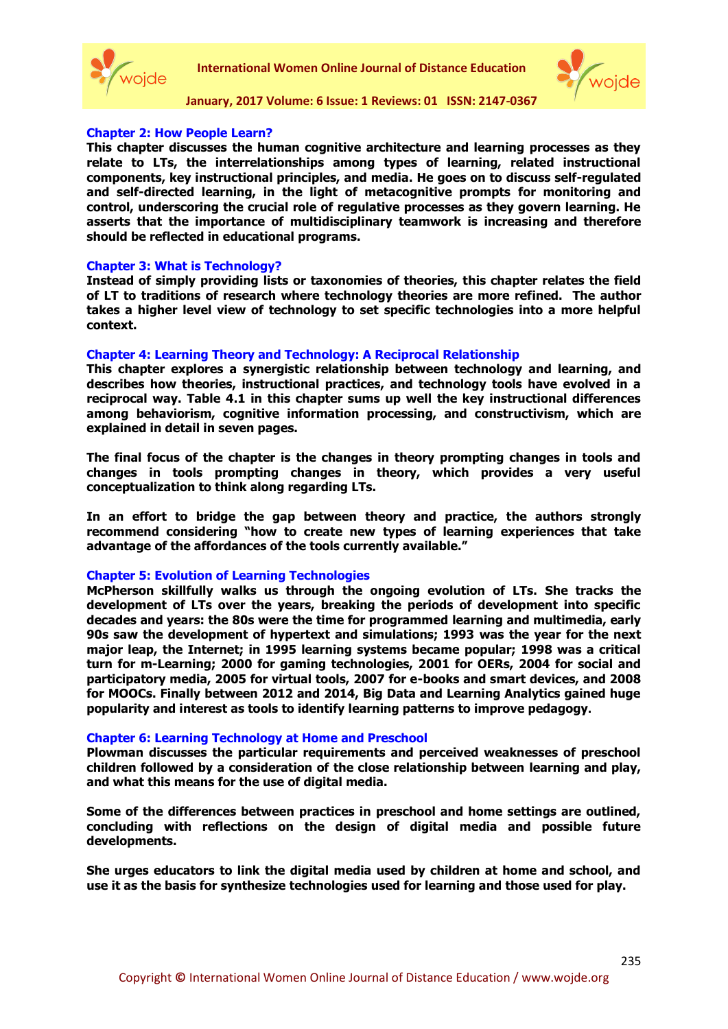



#### **Chapter 2: How People Learn?**

**This chapter discusses the human cognitive architecture and learning processes as they relate to LTs, the interrelationships among types of learning, related instructional components, key instructional principles, and media. He goes on to discuss self-regulated and self-directed learning, in the light of metacognitive prompts for monitoring and control, underscoring the crucial role of regulative processes as they govern learning. He asserts that the importance of multidisciplinary teamwork is increasing and therefore should be reflected in educational programs.**

#### **Chapter 3: What is Technology?**

**Instead of simply providing lists or taxonomies of theories, this chapter relates the field of LT to traditions of research where technology theories are more refined. The author takes a higher level view of technology to set specific technologies into a more helpful context.**

#### **Chapter 4: Learning Theory and Technology: A Reciprocal Relationship**

**This chapter explores a synergistic relationship between technology and learning, and describes how theories, instructional practices, and technology tools have evolved in a reciprocal way. Table 4.1 in this chapter sums up well the key instructional differences among behaviorism, cognitive information processing, and constructivism, which are explained in detail in seven pages.** 

**The final focus of the chapter is the changes in theory prompting changes in tools and changes in tools prompting changes in theory, which provides a very useful conceptualization to think along regarding LTs.** 

**In an effort to bridge the gap between theory and practice, the authors strongly recommend considering "how to create new types of learning experiences that take advantage of the affordances of the tools currently available."**

#### **Chapter 5: Evolution of Learning Technologies**

**McPherson skillfully walks us through the ongoing evolution of LTs. She tracks the development of LTs over the years, breaking the periods of development into specific decades and years: the 80s were the time for programmed learning and multimedia, early 90s saw the development of hypertext and simulations; 1993 was the year for the next major leap, the Internet; in 1995 learning systems became popular; 1998 was a critical turn for m-Learning; 2000 for gaming technologies, 2001 for OERs, 2004 for social and participatory media, 2005 for virtual tools, 2007 for e-books and smart devices, and 2008 for MOOCs. Finally between 2012 and 2014, Big Data and Learning Analytics gained huge popularity and interest as tools to identify learning patterns to improve pedagogy.**

#### **Chapter 6: Learning Technology at Home and Preschool**

**Plowman discusses the particular requirements and perceived weaknesses of preschool children followed by a consideration of the close relationship between learning and play, and what this means for the use of digital media.** 

**Some of the differences between practices in preschool and home settings are outlined, concluding with reflections on the design of digital media and possible future developments.**

**She urges educators to link the digital media used by children at home and school, and use it as the basis for synthesize technologies used for learning and those used for play.**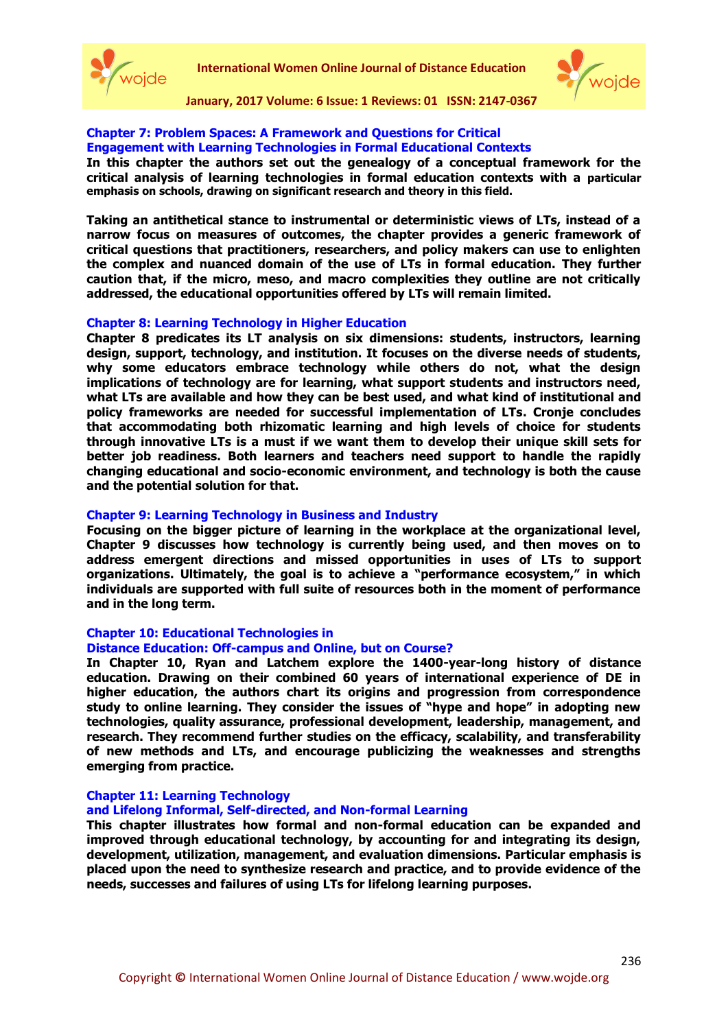



#### **Chapter 7: Problem Spaces: A Framework and Questions for Critical Engagement with Learning Technologies in Formal Educational Contexts**

**In this chapter the authors set out the genealogy of a conceptual framework for the critical analysis of learning technologies in formal education contexts with a particular emphasis on schools, drawing on significant research and theory in this field.**

**Taking an antithetical stance to instrumental or deterministic views of LTs, instead of a narrow focus on measures of outcomes, the chapter provides a generic framework of critical questions that practitioners, researchers, and policy makers can use to enlighten the complex and nuanced domain of the use of LTs in formal education. They further caution that, if the micro, meso, and macro complexities they outline are not critically addressed, the educational opportunities offered by LTs will remain limited.**

#### **Chapter 8: Learning Technology in Higher Education**

**Chapter 8 predicates its LT analysis on six dimensions: students, instructors, learning design, support, technology, and institution. It focuses on the diverse needs of students, why some educators embrace technology while others do not, what the design implications of technology are for learning, what support students and instructors need, what LTs are available and how they can be best used, and what kind of institutional and policy frameworks are needed for successful implementation of LTs. Cronje concludes that accommodating both rhizomatic learning and high levels of choice for students through innovative LTs is a must if we want them to develop their unique skill sets for better job readiness. Both learners and teachers need support to handle the rapidly changing educational and socio-economic environment, and technology is both the cause and the potential solution for that.**

#### **Chapter 9: Learning Technology in Business and Industry**

**Focusing on the bigger picture of learning in the workplace at the organizational level, Chapter 9 discusses how technology is currently being used, and then moves on to address emergent directions and missed opportunities in uses of LTs to support organizations. Ultimately, the goal is to achieve a "performance ecosystem," in which individuals are supported with full suite of resources both in the moment of performance and in the long term.**

#### **Chapter 10: Educational Technologies in**

#### **Distance Education: Off-campus and Online, but on Course?**

**In Chapter 10, Ryan and Latchem explore the 1400-year-long history of distance education. Drawing on their combined 60 years of international experience of DE in higher education, the authors chart its origins and progression from correspondence study to online learning. They consider the issues of "hype and hope" in adopting new technologies, quality assurance, professional development, leadership, management, and research. They recommend further studies on the efficacy, scalability, and transferability of new methods and LTs, and encourage publicizing the weaknesses and strengths emerging from practice.**

## **Chapter 11: Learning Technology**

# **and Lifelong Informal, Self-directed, and Non-formal Learning**

**This chapter illustrates how formal and non-formal education can be expanded and improved through educational technology, by accounting for and integrating its design, development, utilization, management, and evaluation dimensions. Particular emphasis is placed upon the need to synthesize research and practice, and to provide evidence of the needs, successes and failures of using LTs for lifelong learning purposes.**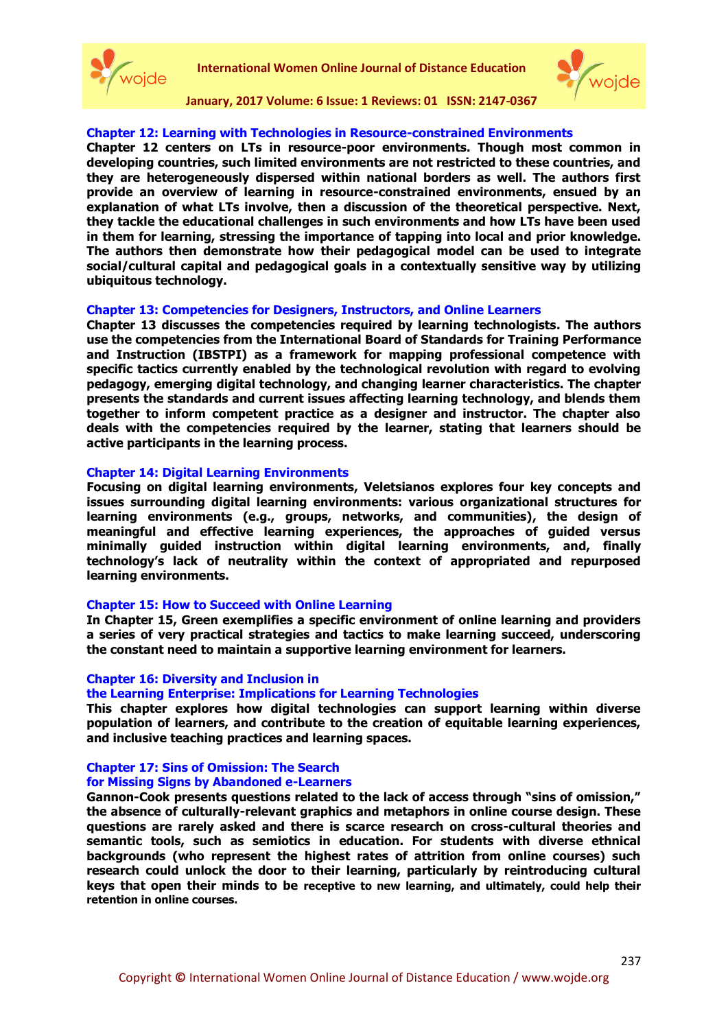



#### **Chapter 12: Learning with Technologies in Resource-constrained Environments**

**Chapter 12 centers on LTs in resource-poor environments. Though most common in developing countries, such limited environments are not restricted to these countries, and they are heterogeneously dispersed within national borders as well. The authors first provide an overview of learning in resource-constrained environments, ensued by an explanation of what LTs involve, then a discussion of the theoretical perspective. Next, they tackle the educational challenges in such environments and how LTs have been used in them for learning, stressing the importance of tapping into local and prior knowledge. The authors then demonstrate how their pedagogical model can be used to integrate social/cultural capital and pedagogical goals in a contextually sensitive way by utilizing ubiquitous technology.**

#### **Chapter 13: Competencies for Designers, Instructors, and Online Learners**

**Chapter 13 discusses the competencies required by learning technologists. The authors use the competencies from the International Board of Standards for Training Performance and Instruction (IBSTPI) as a framework for mapping professional competence with specific tactics currently enabled by the technological revolution with regard to evolving pedagogy, emerging digital technology, and changing learner characteristics. The chapter presents the standards and current issues affecting learning technology, and blends them together to inform competent practice as a designer and instructor. The chapter also deals with the competencies required by the learner, stating that learners should be active participants in the learning process.**

#### **Chapter 14: Digital Learning Environments**

**Focusing on digital learning environments, Veletsianos explores four key concepts and issues surrounding digital learning environments: various organizational structures for learning environments (e.g., groups, networks, and communities), the design of meaningful and effective learning experiences, the approaches of guided versus minimally guided instruction within digital learning environments, and, finally technology's lack of neutrality within the context of appropriated and repurposed learning environments.**

#### **Chapter 15: How to Succeed with Online Learning**

**In Chapter 15, Green exemplifies a specific environment of online learning and providers a series of very practical strategies and tactics to make learning succeed, underscoring the constant need to maintain a supportive learning environment for learners.**

#### **Chapter 16: Diversity and Inclusion in**

#### **the Learning Enterprise: Implications for Learning Technologies**

**This chapter explores how digital technologies can support learning within diverse population of learners, and contribute to the creation of equitable learning experiences, and inclusive teaching practices and learning spaces.** 

# **Chapter 17: Sins of Omission: The Search**

**for Missing Signs by Abandoned e-Learners**

**Gannon-Cook presents questions related to the lack of access through "sins of omission," the absence of culturally-relevant graphics and metaphors in online course design. These questions are rarely asked and there is scarce research on cross-cultural theories and semantic tools, such as semiotics in education. For students with diverse ethnical backgrounds (who represent the highest rates of attrition from online courses) such research could unlock the door to their learning, particularly by reintroducing cultural keys that open their minds to be receptive to new learning, and ultimately, could help their retention in online courses.**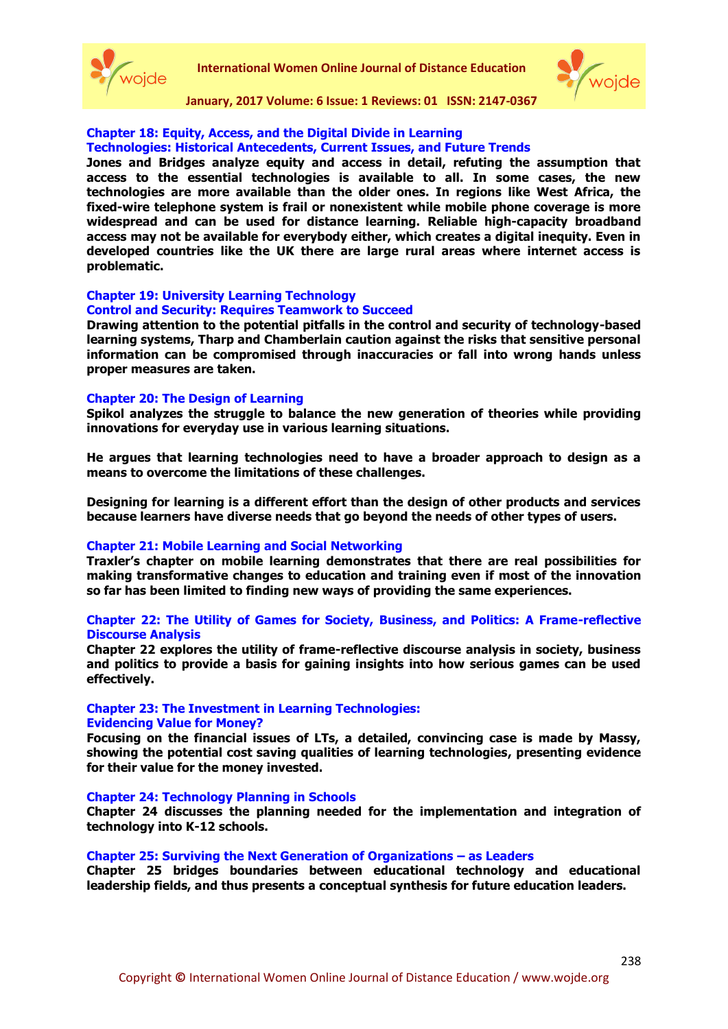



# **Chapter 18: Equity, Access, and the Digital Divide in Learning**

**Technologies: Historical Antecedents, Current Issues, and Future Trends**

**Jones and Bridges analyze equity and access in detail, refuting the assumption that access to the essential technologies is available to all. In some cases, the new technologies are more available than the older ones. In regions like West Africa, the fixed-wire telephone system is frail or nonexistent while mobile phone coverage is more widespread and can be used for distance learning. Reliable high-capacity broadband access may not be available for everybody either, which creates a digital inequity. Even in developed countries like the UK there are large rural areas where internet access is problematic.**

## **Chapter 19: University Learning Technology**

#### **Control and Security: Requires Teamwork to Succeed**

**Drawing attention to the potential pitfalls in the control and security of technology-based learning systems, Tharp and Chamberlain caution against the risks that sensitive personal information can be compromised through inaccuracies or fall into wrong hands unless proper measures are taken.**

#### **Chapter 20: The Design of Learning**

**Spikol analyzes the struggle to balance the new generation of theories while providing innovations for everyday use in various learning situations.** 

**He argues that learning technologies need to have a broader approach to design as a means to overcome the limitations of these challenges.** 

**Designing for learning is a different effort than the design of other products and services because learners have diverse needs that go beyond the needs of other types of users.**

#### **Chapter 21: Mobile Learning and Social Networking**

**Traxler's chapter on mobile learning demonstrates that there are real possibilities for making transformative changes to education and training even if most of the innovation so far has been limited to finding new ways of providing the same experiences.**

#### **Chapter 22: The Utility of Games for Society, Business, and Politics: A Frame-reflective Discourse Analysis**

**Chapter 22 explores the utility of frame-reflective discourse analysis in society, business and politics to provide a basis for gaining insights into how serious games can be used effectively.**

# **Chapter 23: The Investment in Learning Technologies:**

#### **Evidencing Value for Money?**

**Focusing on the financial issues of LTs, a detailed, convincing case is made by Massy, showing the potential cost saving qualities of learning technologies, presenting evidence for their value for the money invested.**

#### **Chapter 24: Technology Planning in Schools**

**Chapter 24 discusses the planning needed for the implementation and integration of technology into K-12 schools.**

#### **Chapter 25: Surviving the Next Generation of Organizations – as Leaders**

**Chapter 25 bridges boundaries between educational technology and educational leadership fields, and thus presents a conceptual synthesis for future education leaders.**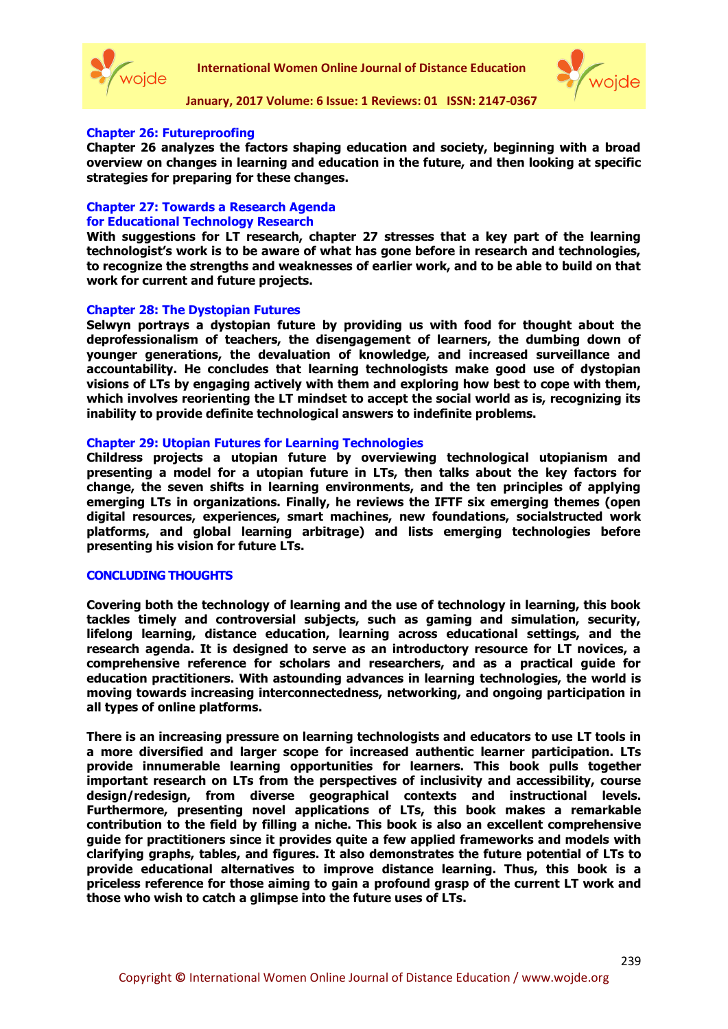



## **Chapter 26: Futureproofing**

**Chapter 26 analyzes the factors shaping education and society, beginning with a broad overview on changes in learning and education in the future, and then looking at specific strategies for preparing for these changes.**

# **Chapter 27: Towards a Research Agenda for Educational Technology Research**

**With suggestions for LT research, chapter 27 stresses that a key part of the learning technologist's work is to be aware of what has gone before in research and technologies, to recognize the strengths and weaknesses of earlier work, and to be able to build on that work for current and future projects.** 

#### **Chapter 28: The Dystopian Futures**

**Selwyn portrays a dystopian future by providing us with food for thought about the deprofessionalism of teachers, the disengagement of learners, the dumbing down of younger generations, the devaluation of knowledge, and increased surveillance and accountability. He concludes that learning technologists make good use of dystopian visions of LTs by engaging actively with them and exploring how best to cope with them, which involves reorienting the LT mindset to accept the social world as is, recognizing its inability to provide definite technological answers to indefinite problems.**

#### **Chapter 29: Utopian Futures for Learning Technologies**

**Childress projects a utopian future by overviewing technological utopianism and presenting a model for a utopian future in LTs, then talks about the key factors for change, the seven shifts in learning environments, and the ten principles of applying emerging LTs in organizations. Finally, he reviews the IFTF six emerging themes (open digital resources, experiences, smart machines, new foundations, socialstructed work platforms, and global learning arbitrage) and lists emerging technologies before presenting his vision for future LTs.**

#### **CONCLUDING THOUGHTS**

**Covering both the technology of learning and the use of technology in learning, this book tackles timely and controversial subjects, such as gaming and simulation, security, lifelong learning, distance education, learning across educational settings, and the research agenda. It is designed to serve as an introductory resource for LT novices, a comprehensive reference for scholars and researchers, and as a practical guide for education practitioners. With astounding advances in learning technologies, the world is moving towards increasing interconnectedness, networking, and ongoing participation in all types of online platforms.** 

**There is an increasing pressure on learning technologists and educators to use LT tools in a more diversified and larger scope for increased authentic learner participation. LTs provide innumerable learning opportunities for learners. This book pulls together important research on LTs from the perspectives of inclusivity and accessibility, course design/redesign, from diverse geographical contexts and instructional levels. Furthermore, presenting novel applications of LTs, this book makes a remarkable contribution to the field by filling a niche. This book is also an excellent comprehensive guide for practitioners since it provides quite a few applied frameworks and models with clarifying graphs, tables, and figures. It also demonstrates the future potential of LTs to provide educational alternatives to improve distance learning. Thus, this book is a priceless reference for those aiming to gain a profound grasp of the current LT work and those who wish to catch a glimpse into the future uses of LTs.**